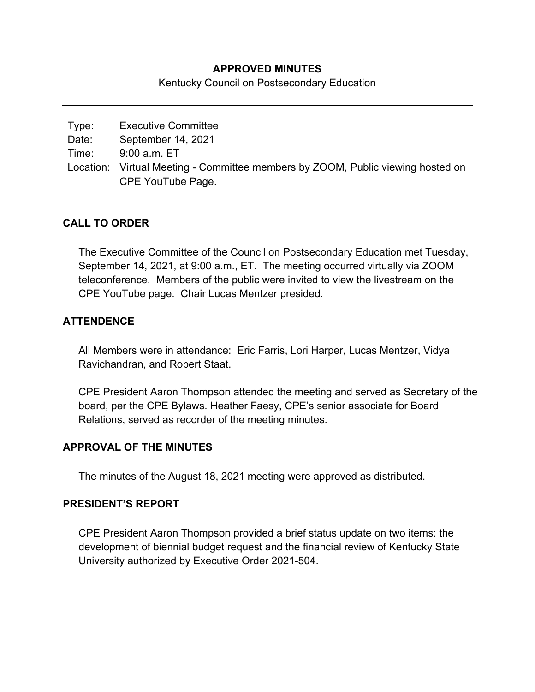### **APPROVED MINUTES**

Kentucky Council on Postsecondary Education

| Type:                    | <b>Executive Committee</b> |
|--------------------------|----------------------------|
| $\overline{\phantom{a}}$ | . <b>.</b> .               |

Date: September 14, 2021

Time: 9:00 a.m. ET

Location: Virtual Meeting - Committee members by ZOOM, Public viewing hosted on CPE YouTube Page.

## **CALL TO ORDER**

The Executive Committee of the Council on Postsecondary Education met Tuesday, September 14, 2021, at 9:00 a.m., ET. The meeting occurred virtually via ZOOM teleconference. Members of the public were invited to view the livestream on the CPE YouTube page. Chair Lucas Mentzer presided.

## **ATTENDENCE**

All Members were in attendance: Eric Farris, Lori Harper, Lucas Mentzer, Vidya Ravichandran, and Robert Staat.

CPE President Aaron Thompson attended the meeting and served as Secretary of the board, per the CPE Bylaws. Heather Faesy, CPE's senior associate for Board Relations, served as recorder of the meeting minutes.

#### **APPROVAL OF THE MINUTES**

The minutes of the August 18, 2021 meeting were approved as distributed.

#### **PRESIDENT'S REPORT**

CPE President Aaron Thompson provided a brief status update on two items: the development of biennial budget request and the financial review of Kentucky State University authorized by Executive Order 2021-504.